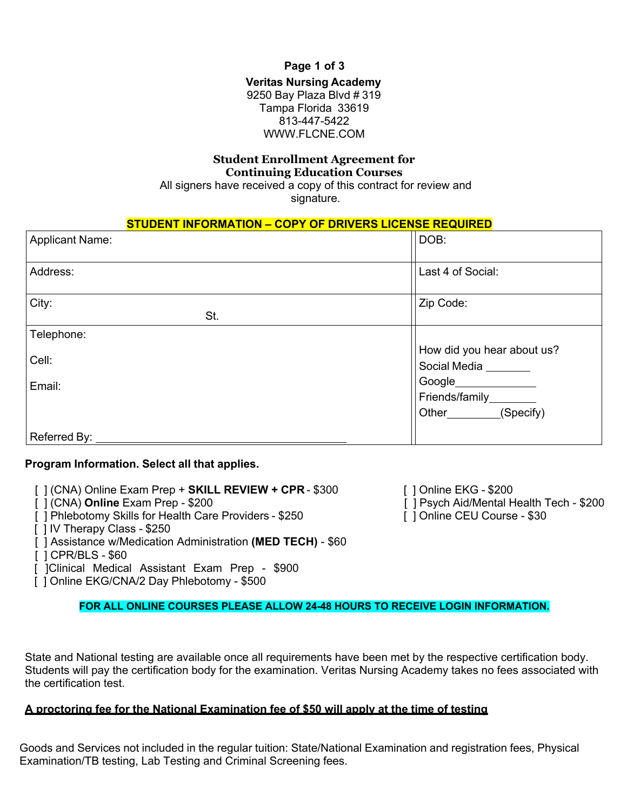**Page 1 of 3**

#### **Veritas Nursing Academy** 9250 Bay Plaza Blvd # 319 Tampa Florida 33619 813-447-5422 WWW.FLCNE.COM

### **Student Enrollment Agreement for Continuing Education Courses**

All signers have received a copy of this contract for review and signature.

### **STUDENT INFORMATION – COPY OF DRIVERS LICENSE REQUIRED**

| <b>Applicant Name:</b> | DOB:                                                           |
|------------------------|----------------------------------------------------------------|
| Address:               | Last 4 of Social:                                              |
| City:<br>St.           | Zip Code:                                                      |
| Telephone:             |                                                                |
| Cell:                  | How did you hear about us?<br>Social Media <b>Netal Access</b> |
| Email:                 | Google__________                                               |
|                        |                                                                |
|                        | (Specify)<br>Other ________                                    |
| Referred By:           |                                                                |

## **Program Information. Select all that applies.**

[ ] (CNA) Online Exam Prep + **SKILL REVIEW + CPR** - \$300 [ ] Online EKG - \$200

- [ ] (CNA) **Online** Exam Prep \$200
- [ ] Phlebotomy Skills for Health Care Providers \$250
- [ ] IV Therapy Class \$250
- [ ] Assistance w/Medication Administration **(MED TECH)**  \$60
- [ ] CPR/BLS \$60
- [ ]Clinical Medical Assistant Exam Prep \$900

[ ] Online EKG/CNA/2 Day Phlebotomy - \$500

#### **FOR ALL ONLINE COURSES PLEASE ALLOW 24-48 HOURS TO RECEIVE LOGIN INFORMATION.**

State and National testing are available once all requirements have been met by the respective certification body. Students will pay the certification body for the examination. Veritas Nursing Academy takes no fees associated with the certification test.

#### **A proctoring fee for the National Examination fee of \$50 will apply at the time of testing**

Goods and Services not included in the regular tuition: State/National Examination and registration fees, Physical Examination/TB testing, Lab Testing and Criminal Screening fees.

[ ] Psych Aid/Mental Health Tech - \$200 [ ] Online CEU Course - \$30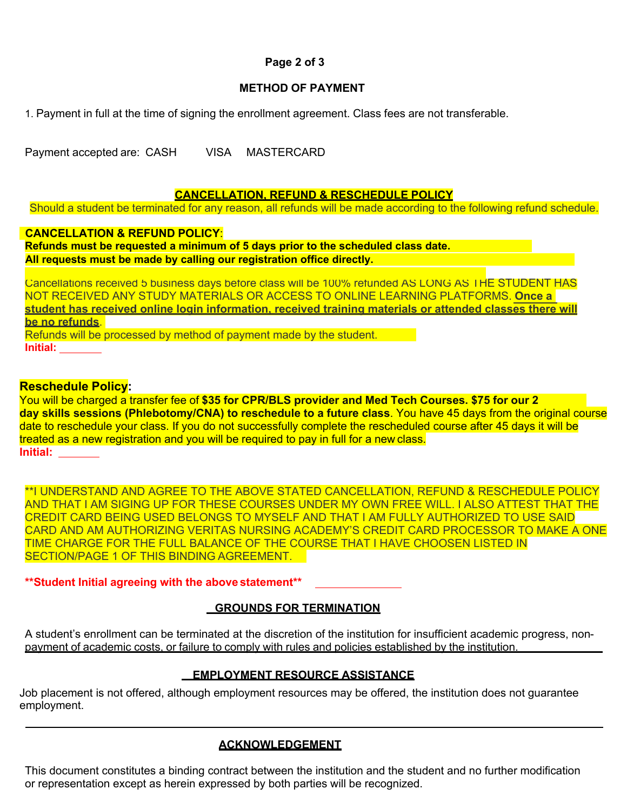## **Page 2 of 3**

### **METHOD OF PAYMENT**

1. Payment in full at the time of signing the enrollment agreement. Class fees are not transferable.

Payment accepted are: CASH VISA MASTERCARD

#### **CANCELLATION, REFUND & RESCHEDULE POLICY**

Should a student be terminated for any reason, all refunds will be made according to the following refund schedule.

### **CANCELLATION & REFUND POLICY**:

**Refunds must be requested a minimum of 5 days prior to the scheduled class date. All requests must be made by calling our registration office directly.**

Cancellations received 5 business days before class will be 100% refunded AS LONG AS THE STUDENT HAS NOT RECEIVED ANY STUDY MATERIALS OR ACCESS TO ONLINE LEARNING PLATFORMS. **Once a student has received online login information, received training materials or attended classes there will be no refunds**.

Refunds will be processed by method of payment made by the student. **Initial:**

## **Reschedule Policy:**

You will be charged a transfer fee of **\$35 for CPR/BLS provider and Med Tech Courses. \$75 for our 2 day skills sessions (Phlebotomy/CNA) to reschedule to a future class**. You have 45 days from the original course date to reschedule your class. If you do not successfully complete the rescheduled course after 45 days it will be treated as a new registration and you will be required to pay in full for a new class. **Initial:** 

\*\*I UNDERSTAND AND AGREE TO THE ABOVE STATED CANCELLATION, REFUND & RESCHEDULE POLICY AND THAT I AM SIGING UP FOR THESE COURSES UNDER MY OWN FREE WILL. I ALSO ATTEST THAT THE CREDIT CARD BEING USED BELONGS TO MYSELF AND THAT I AM FULLY AUTHORIZED TO USE SAID CARD AND AM AUTHORIZING VERITAS NURSING ACADEMY'S CREDIT CARD PROCESSOR TO MAKE A ONE TIME CHARGE FOR THE FULL BALANCE OF THE COURSE THAT I HAVE CHOOSEN LISTED IN SECTION/PAGE 1 OF THIS BINDING AGREEMENT.

## **\*\*Student Initial agreeing with the above statement\*\***

# **GROUNDS FOR TERMINATION**

A student's enrollment can be terminated at the discretion of the institution for insufficient academic progress, nonpayment of academic costs, or failure to comply with rules and policies established by the institution.

# **EMPLOYMENT RESOURCE ASSISTANCE**

Job placement is not offered, although employment resources may be offered, the institution does not guarantee employment.

# **ACKNOWLEDGEMENT**

This document constitutes a binding contract between the institution and the student and no further modification or representation except as herein expressed by both parties will be recognized.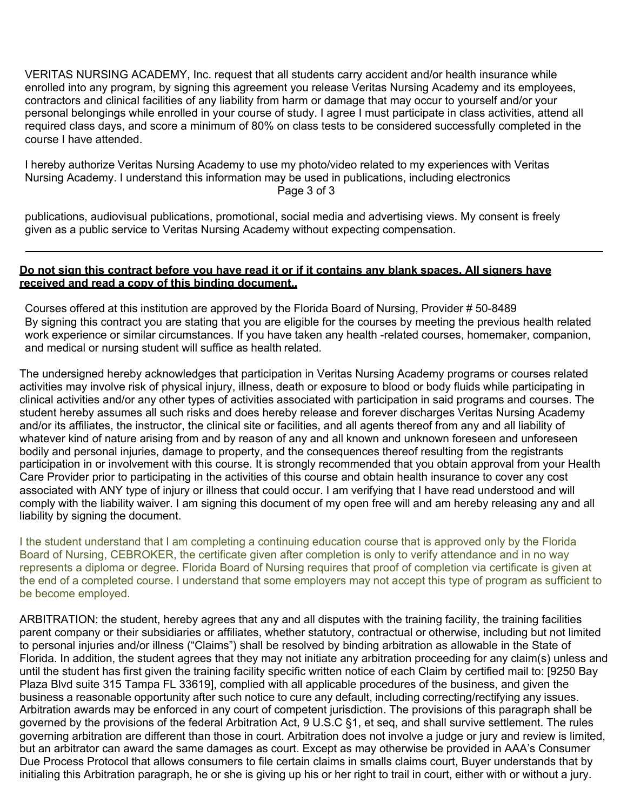VERITAS NURSING ACADEMY, Inc. request that all students carry accident and/or health insurance while enrolled into any program, by signing this agreement you release Veritas Nursing Academy and its employees, contractors and clinical facilities of any liability from harm or damage that may occur to yourself and/or your personal belongings while enrolled in your course of study. I agree I must participate in class activities, attend all required class days, and score a minimum of 80% on class tests to be considered successfully completed in the course I have attended.

I hereby authorize Veritas Nursing Academy to use my photo/video related to my experiences with Veritas Nursing Academy. I understand this information may be used in publications, including electronics Page 3 of 3

publications, audiovisual publications, promotional, social media and advertising views. My consent is freely given as a public service to Veritas Nursing Academy without expecting compensation.

#### **Do not sign this contract before you have read it or if it contains any blank spaces. All signers have received and read a copy of this binding document..**

Courses offered at this institution are approved by the Florida Board of Nursing, Provider # 50-8489 By signing this contract you are stating that you are eligible for the courses by meeting the previous health related work experience or similar circumstances. If you have taken any health -related courses, homemaker, companion, and medical or nursing student will suffice as health related.

The undersigned hereby acknowledges that participation in Veritas Nursing Academy programs or courses related activities may involve risk of physical injury, illness, death or exposure to blood or body fluids while participating in clinical activities and/or any other types of activities associated with participation in said programs and courses. The student hereby assumes all such risks and does hereby release and forever discharges Veritas Nursing Academy and/or its affiliates, the instructor, the clinical site or facilities, and all agents thereof from any and all liability of whatever kind of nature arising from and by reason of any and all known and unknown foreseen and unforeseen bodily and personal injuries, damage to property, and the consequences thereof resulting from the registrants participation in or involvement with this course. It is strongly recommended that you obtain approval from your Health Care Provider prior to participating in the activities of this course and obtain health insurance to cover any cost associated with ANY type of injury or illness that could occur. I am verifying that I have read understood and will comply with the liability waiver. I am signing this document of my open free will and am hereby releasing any and all liability by signing the document.

I the student understand that I am completing a continuing education course that is approved only by the Florida Board of Nursing, CEBROKER, the certificate given after completion is only to verify attendance and in no way represents a diploma or degree. Florida Board of Nursing requires that proof of completion via certificate is given at the end of a completed course. I understand that some employers may not accept this type of program as sufficient to be become employed.

ARBITRATION: the student, hereby agrees that any and all disputes with the training facility, the training facilities parent company or their subsidiaries or affiliates, whether statutory, contractual or otherwise, including but not limited to personal injuries and/or illness ("Claims") shall be resolved by binding arbitration as allowable in the State of Florida. In addition, the student agrees that they may not initiate any arbitration proceeding for any claim(s) unless and until the student has first given the training facility specific written notice of each Claim by certified mail to: [9250 Bay Plaza Blvd suite 315 Tampa FL 33619], complied with all applicable procedures of the business, and given the business a reasonable opportunity after such notice to cure any default, including correcting/rectifying any issues. Arbitration awards may be enforced in any court of competent jurisdiction. The provisions of this paragraph shall be governed by the provisions of the federal Arbitration Act, 9 U.S.C §1, et seq, and shall survive settlement. The rules governing arbitration are different than those in court. Arbitration does not involve a judge or jury and review is limited, but an arbitrator can award the same damages as court. Except as may otherwise be provided in AAA's Consumer Due Process Protocol that allows consumers to file certain claims in smalls claims court, Buyer understands that by initialing this Arbitration paragraph, he or she is giving up his or her right to trail in court, either with or without a jury.